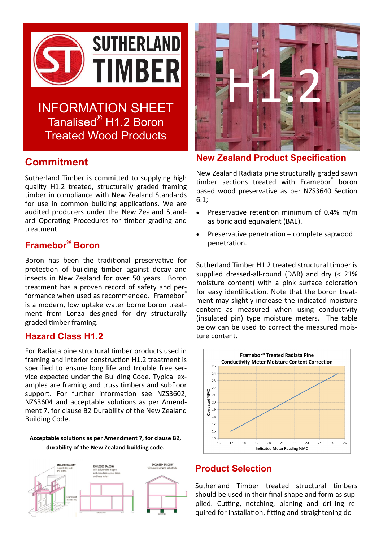

INFORMATION SHEET Tanalised® H1.2 Boron Treated Wood Products

# **Commitment**

Sutherland Timber is committed to supplying high quality H1.2 treated, structurally graded framing timber in compliance with New Zealand Standards for use in common building applications. We are audited producers under the New Zealand Standard Operating Procedures for timber grading and treatment.

# **Framebor® Boron**

Boron has been the traditional preservative for protection of building timber against decay and insects in New Zealand for over 50 years. Boron treatment has a proven record of safety and performance when used as recommended. Framebor® is a modern, low uptake water borne boron treatment from Lonza designed for dry structurally graded timber framing.

## **Hazard Class H1.2**

For Radiata pine structural timber products used in framing and interior construction H1.2 treatment is specified to ensure long life and trouble free service expected under the Building Code. Typical examples are framing and truss timbers and subfloor support. For further information see NZS3602, NZS3604 and acceptable solutions as per Amendment 7, for clause B2 Durability of the New Zealand Building Code.

#### **Acceptable solutions as per Amendment 7, for clause B2, durability of the New Zealand building code.**





**New Zealand Product Specification** 

New Zealand Radiata pine structurally graded sawn timber sections treated with Framebor<sup>®</sup> boron based wood preservative as per NZS3640 Section 6.1;

- Preservative retention minimum of 0.4% m/m as boric acid equivalent (BAE).
- Preservative penetration complete sapwood penetration.

Sutherland Timber H1.2 treated structural timber is supplied dressed-all-round (DAR) and dry (< 21% moisture content) with a pink surface coloration for easy identification. Note that the boron treatment may slightly increase the indicated moisture content as measured when using conductivity (insulated pin) type moisture meters. The table below can be used to correct the measured moisture content.



## **Product Selection**

Sutherland Timber treated structural timbers should be used in their final shape and form as supplied. Cutting, notching, planing and drilling required for installation, fitting and straightening do